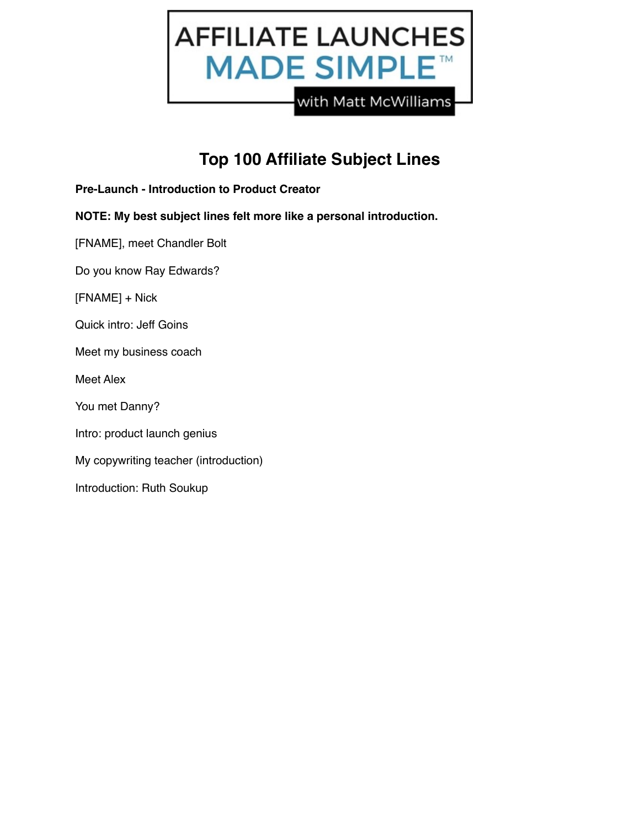

# **Top 100 Affiliate Subject Lines**

- **Pre-Launch Introduction to Product Creator**
- **NOTE: My best subject lines felt more like a personal introduction.**
- [FNAME], meet Chandler Bolt
- Do you know Ray Edwards?
- [FNAME] + Nick
- Quick intro: Jeff Goins
- Meet my business coach
- Meet Alex
- You met Danny?
- Intro: product launch genius
- My copywriting teacher (introduction)
- Introduction: Ruth Soukup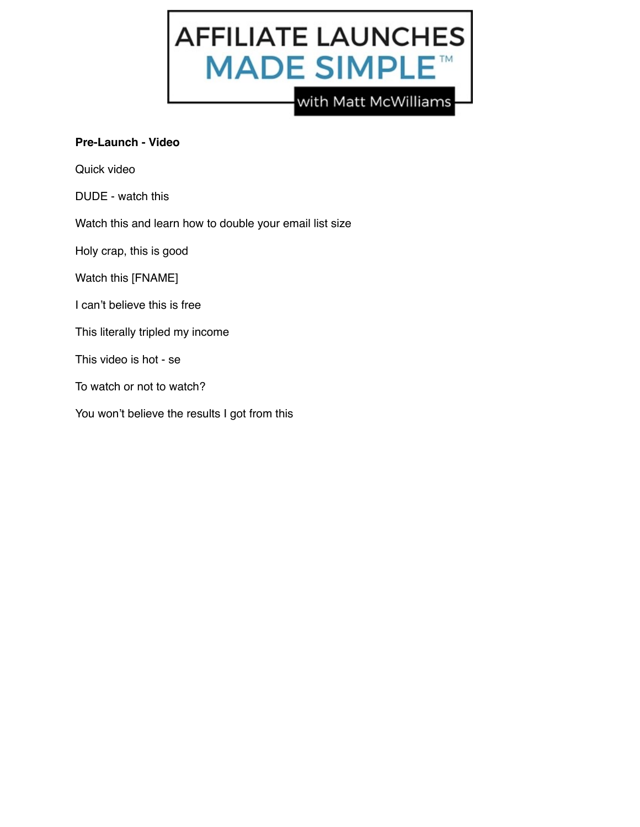

#### **Pre-Launch - Video**

Quick video

DUDE - watch this

Watch this and learn how to double your email list size

Holy crap, this is good

Watch this [FNAME]

- I can't believe this is free
- This literally tripled my income

This video is hot - se

To watch or not to watch?

You won't believe the results I got from this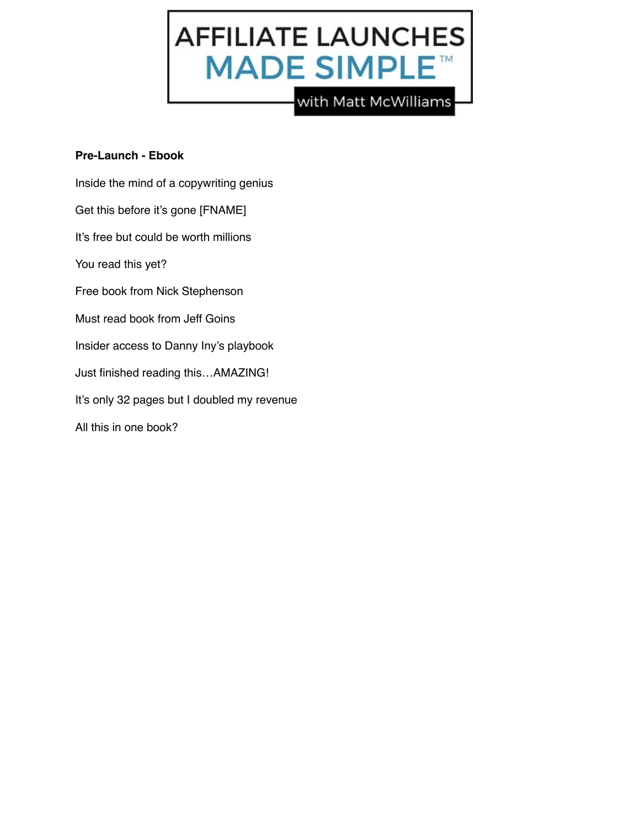

## **Pre-Launch - Ebook**

Inside the mind of a copywriting genius Get this before it's gone [FNAME] It's free but could be worth millions You read this yet? Free book from Nick Stephenson Must read book from Jeff Goins Insider access to Danny Iny's playbook Just finished reading this…AMAZING! It's only 32 pages but I doubled my revenue

All this in one book?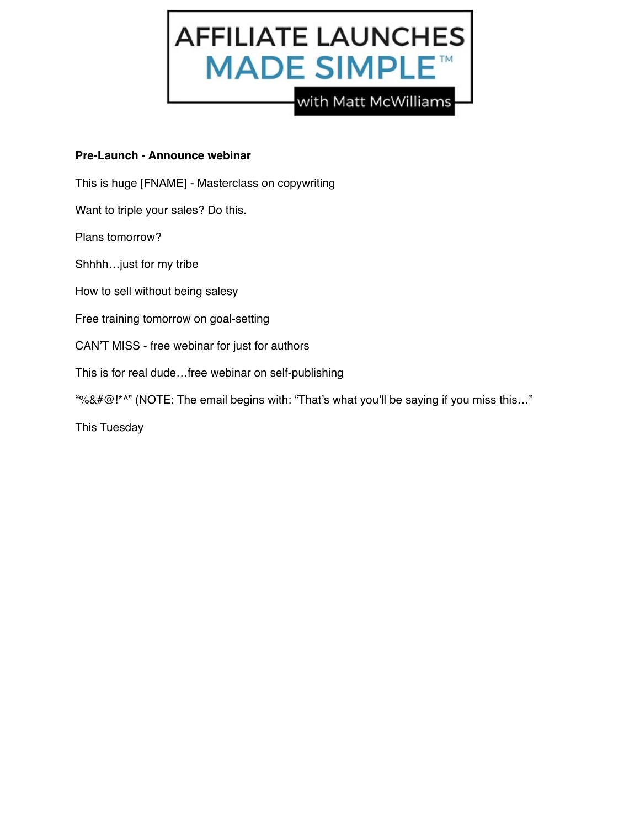

#### **Pre-Launch - Announce webinar**

- This is huge [FNAME] Masterclass on copywriting
- Want to triple your sales? Do this.
- Plans tomorrow?
- Shhhh…just for my tribe
- How to sell without being salesy
- Free training tomorrow on goal-setting
- CAN'T MISS free webinar for just for authors
- This is for real dude…free webinar on self-publishing
- "%&#@!\*^" (NOTE: The email begins with: "That's what you'll be saying if you miss this..."

This Tuesday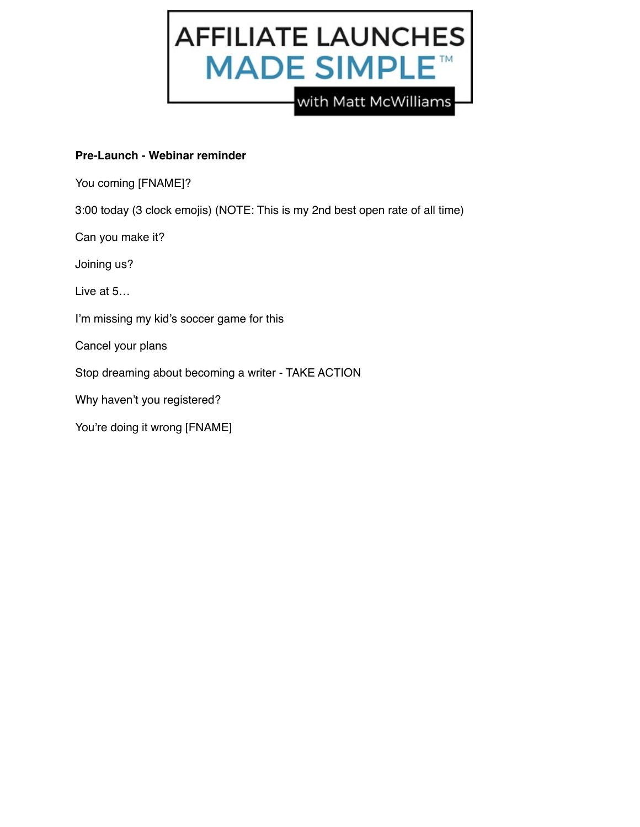

# **Pre-Launch - Webinar reminder**

You coming [FNAME]?

3:00 today (3 clock emojis) (NOTE: This is my 2nd best open rate of all time)

Can you make it?

Joining us?

Live at 5…

I'm missing my kid's soccer game for this

Cancel your plans

Stop dreaming about becoming a writer - TAKE ACTION

Why haven't you registered?

You're doing it wrong [FNAME]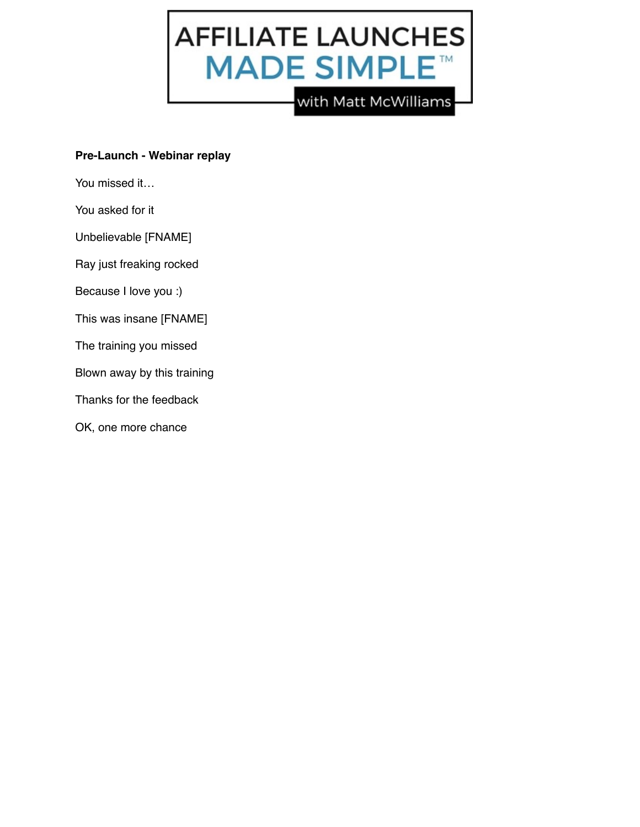

## **Pre-Launch - Webinar replay**

You missed it…

You asked for it

Unbelievable [FNAME]

Ray just freaking rocked

Because I love you :)

This was insane [FNAME]

The training you missed

Blown away by this training

Thanks for the feedback

OK, one more chance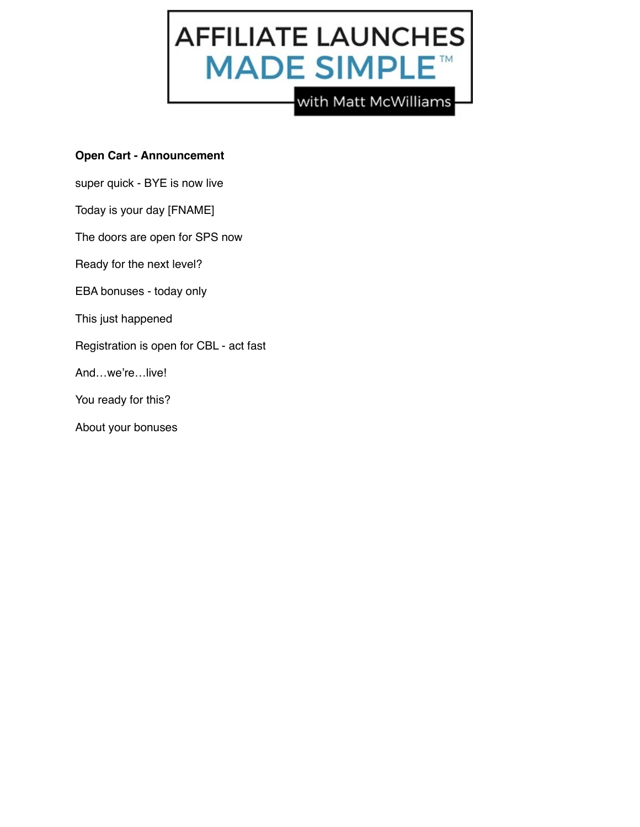

#### **Open Cart - Announcement**

super quick - BYE is now live

Today is your day [FNAME]

The doors are open for SPS now

Ready for the next level?

EBA bonuses - today only

This just happened

Registration is open for CBL - act fast

And…we're…live!

You ready for this?

About your bonuses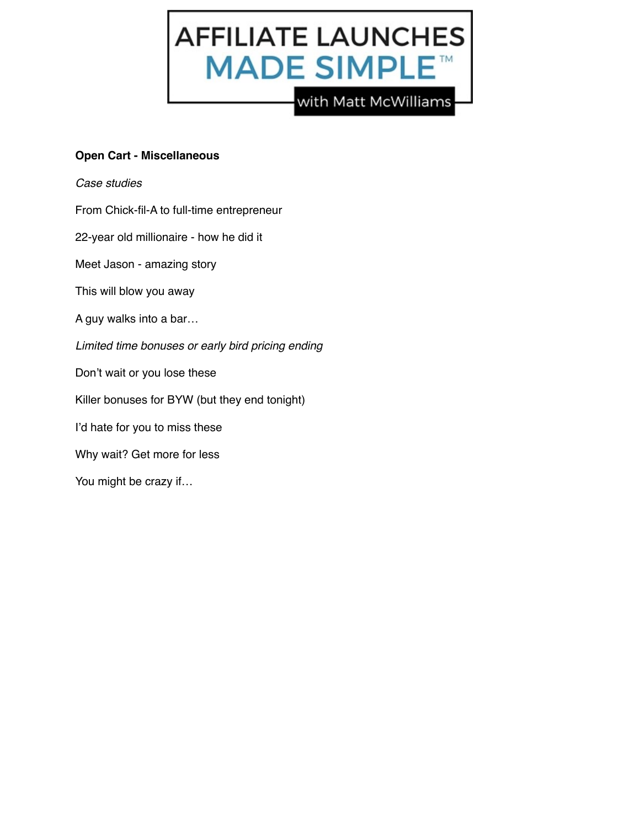

## **Open Cart - Miscellaneous**

*Case studies*

From Chick-fil-A to full-time entrepreneur

22-year old millionaire - how he did it

Meet Jason - amazing story

This will blow you away

A guy walks into a bar…

*Limited time bonuses or early bird pricing ending*

Don't wait or you lose these

Killer bonuses for BYW (but they end tonight)

I'd hate for you to miss these

Why wait? Get more for less

You might be crazy if…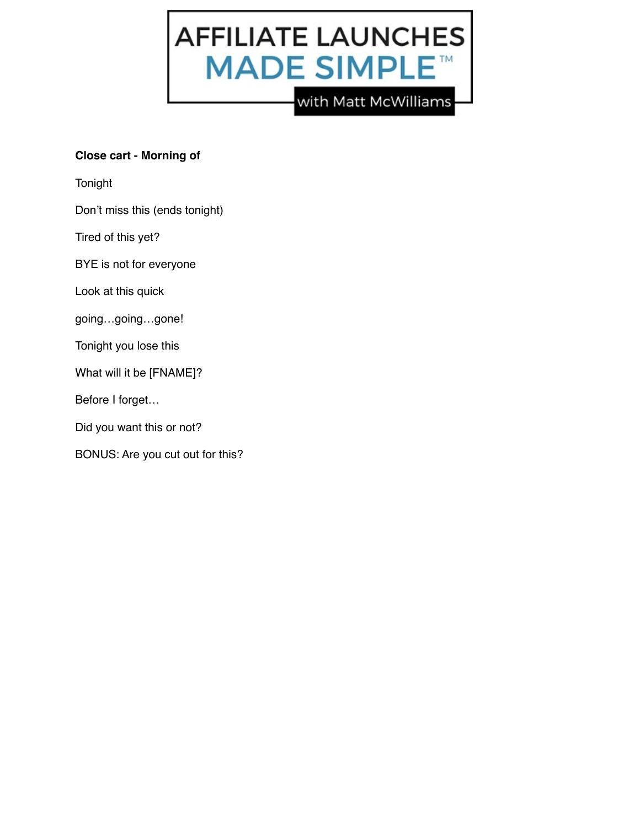

# **Close cart - Morning of**

Tonight

Don't miss this (ends tonight)

Tired of this yet?

BYE is not for everyone

Look at this quick

going…going…gone!

Tonight you lose this

What will it be [FNAME]?

Before I forget…

Did you want this or not?

BONUS: Are you cut out for this?